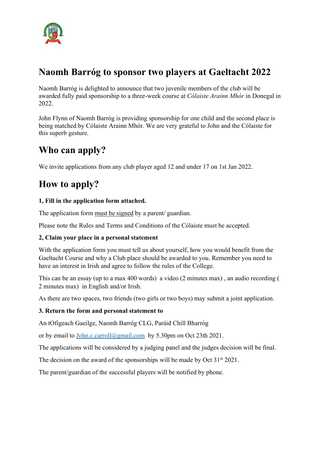

# **Naomh Barróg to sponsor two players at Gaeltacht 2022**

Naomh Barróg is delighted to announce that two juvenile members of the club will be awarded fully paid sponsorship to a three-week course at *Cólaiste Arainn Mhór* in Donegal in 2022.

John Flynn of Naomh Barróg is providing sponsorship for one child and the second place is being matched by Cólaiste Arainn Mhór. We are very grateful to John and the Cólaiste for this superb gesture.

# **Who can apply?**

We invite applications from any club player aged 12 and under 17 on 1st Jan 2022.

# **How to apply?**

### **1, Fill in the application form attached.**

The application form must be signed by a parent/ guardian.

Please note the Rules and Terms and Conditions of the Cólaiste must be accepted.

### **2, Claim your place in a personal statement**

With the application form you must tell us about yourself, how you would benefit from the Gaeltacht Course and why a Club place should be awarded to you. Remember you need to have an interest in Irish and agree to follow the rules of the College.

This can be an essay (up to a max 400 words) a video (2 minutes max) , an audio recording ( 2 minutes max) in English and/or Irish.

As there are two spaces, two friends (two girls or two boys) may submit a joint application.

### **3. Return the form and personal statement to**

An tOfigeach Gaeilge, Naomh Barróg CLG, Paráid Chill Bharróg

or by email to [John.c.carroll@gmail.com](mailto:John.c.carroll@gmail.com) by 5.30pm on Oct 23th 2021.

The applications will be considered by a judging panel and the judges decision will be final.

The decision on the award of the sponsorships will be made by Oct 31<sup>st</sup> 2021.

The parent/guardian of the successful players will be notified by phone.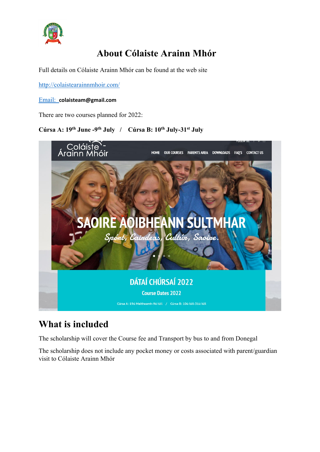

# **About Cólaiste Arainn Mhór**

Full details on Cólaiste Arainn Mhór can be found at the web site

<http://colaistearainnmhoir.com/>

#### Email: **colaisteam@gmail.com**

There are two courses planned for 2022:

### **Cúrsa A: 19th June -9th July / Cúrsa B: 10th July-31st July**



## **What is included**

The scholarship will cover the Course fee and Transport by bus to and from Donegal

The scholarship does not include any pocket money or costs associated with parent/guardian visit to Cólaiste Arainn Mhór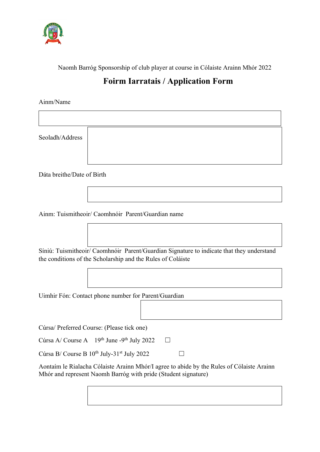

Naomh Barróg Sponsorship of club player at course in Cólaiste Arainn Mhór 2022

## **Foirm Iarratais / Application Form**

Ainm/Name

Seoladh/Address

Dáta breithe/Date of Birth

Ainm: Tuismitheoir/ Caomhnóir Parent/Guardian name

Síniú: Tuismitheoir/ Caomhnóir Parent/Guardian Signature to indicate that they understand the conditions of the Scholarship and the Rules of Coláiste

Uimhir Fón: Contact phone number for Parent/Guardian

Cúrsa/ Preferred Course: (Please tick one)

Cúrsa A/ Course A  $19<sup>th</sup>$  June -9<sup>th</sup> July 2022  $\Box$ 

Cúrsa B/ Course B  $10^{th}$  July-31<sup>st</sup> July 2022  $\Box$ 

Aontaím le Rialacha Cólaiste Arainn Mhór/I agree to abide by the Rules of Cólaiste Arainn Mhór and represent Naomh Barróg with pride (Student signature)